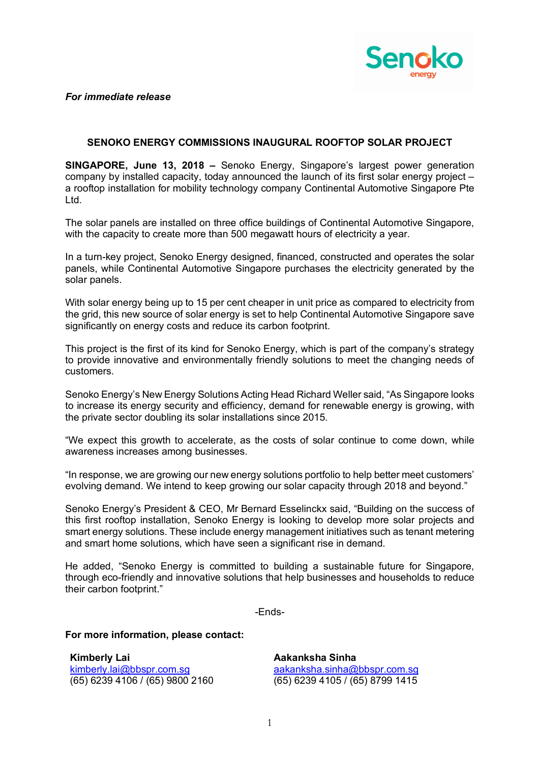

*For immediate release*

## **SENOKO ENERGY COMMISSIONS INAUGURAL ROOFTOP SOLAR PROJECT**

**SINGAPORE, June 13, 2018 –** Senoko Energy, Singapore's largest power generation company by installed capacity, today announced the launch of its first solar energy project – a rooftop installation for mobility technology company Continental Automotive Singapore Pte Ltd.

The solar panels are installed on three office buildings of Continental Automotive Singapore, with the capacity to create more than 500 megawatt hours of electricity a year.

In a turn-key project, Senoko Energy designed, financed, constructed and operates the solar panels, while Continental Automotive Singapore purchases the electricity generated by the solar panels.

With solar energy being up to 15 per cent cheaper in unit price as compared to electricity from the grid, this new source of solar energy is set to help Continental Automotive Singapore save significantly on energy costs and reduce its carbon footprint.

This project is the first of its kind for Senoko Energy, which is part of the company's strategy to provide innovative and environmentally friendly solutions to meet the changing needs of customers.

Senoko Energy's New Energy Solutions Acting Head Richard Weller said, "As Singapore looks to increase its energy security and efficiency, demand for renewable energy is growing, with the private sector doubling its solar installations since 2015.

"We expect this growth to accelerate, as the costs of solar continue to come down, while awareness increases among businesses.

"In response, we are growing our new energy solutions portfolio to help better meet customers' evolving demand. We intend to keep growing our solar capacity through 2018 and beyond."

Senoko Energy's President & CEO, Mr Bernard Esselinckx said, "Building on the success of this first rooftop installation, Senoko Energy is looking to develop more solar projects and smart energy solutions. These include energy management initiatives such as tenant metering and smart home solutions, which have seen a significant rise in demand.

He added, "Senoko Energy is committed to building a sustainable future for Singapore, through eco-friendly and innovative solutions that help businesses and households to reduce their carbon footprint."

-Ends-

**For more information, please contact:**

**Kimberly Lai** kimberly.lai@bbspr.com.sg (65) 6239 4106 / (65) 9800 2160

**Aakanksha Sinha** aakanksha.sinha@bbspr.com.sg (65) 6239 4105 / (65) 8799 1415